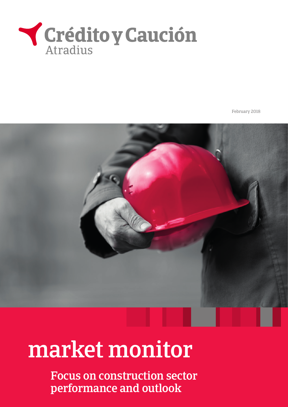

February 2018

# market monitor

Focus on construction sector performance and outlook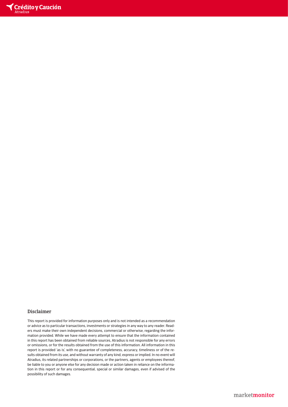

#### Disclaimer

This report is provided for information purposes only and is not intended as a recommendation or advice as to particular transactions, investments or strategies in any way to any reader. Readers must make their own independent decisions, commercial or otherwise, regarding the information provided. While we have made every attempt to ensure that the information contained in this report has been obtained from reliable sources, Atradius is not responsible for any errors or omissions, or for the results obtained from the use of this information. All information in this report is provided 'as is', with no guarantee of completeness, accuracy, timeliness or of the results obtained from its use, and without warranty of any kind, express or implied. In no event will Atradius, its related partnerships or corporations, or the partners, agents or employees thereof, be liable to you or anyone else for any decision made or action taken in reliance on the information in this report or for any consequential, special or similar damages, even if advised of the possibility of such damages.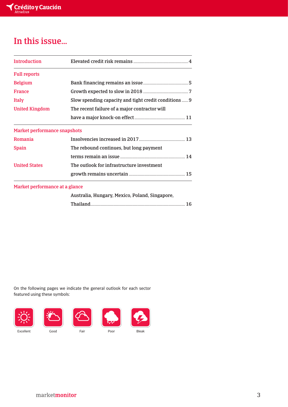## In this issue…

| <b>Introduction</b>            |                                                       |
|--------------------------------|-------------------------------------------------------|
| <b>Full reports</b>            |                                                       |
| <b>Belgium</b>                 |                                                       |
| <b>France</b>                  |                                                       |
| <b>Italy</b>                   | Slow spending capacity and tight credit conditions  9 |
| <b>United Kingdom</b>          | The recent failure of a major contractor will         |
|                                |                                                       |
| Market performance snapshots   |                                                       |
| Romania                        |                                                       |
| <b>Spain</b>                   | The rebound continues, but long payment               |
|                                |                                                       |
| <b>United States</b>           | The outlook for infrastructure investment             |
|                                |                                                       |
| Market performance at a glance |                                                       |
|                                | Australia, Hungary, Mexico, Poland, Singapore,        |
|                                |                                                       |

On the following pages we indicate the general outlook for each sector featured using these symbols:

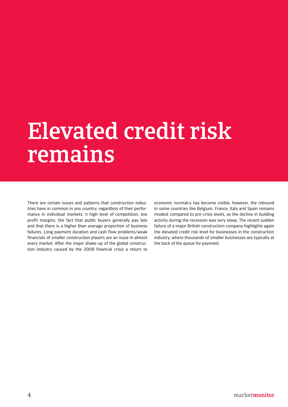# Elevated credit risk remains

There are certain issues and patterns that construction industries have in common in any country, regardless of their performance in individual markets: n high level of competition, low profit margins, the fact that public buyers generally pay late and that there is a higher than average proportion of business failures. Long payment duration and cash flow problems/weak financials of smaller construction players are an issue in almost every market. After the major shake-up of the global construction industry caused by the 2008 financial crisis a return to

economic normalcy has become visible, however, the rebound in some countries like Belgium, France, Italy and Spain remains modest compared to pre-crisis levels, as the decline in building activity during the recession was very steep. The recent sudden failure of a major British construction company highlights again the elevated credit risk level for businesses in the construction industry, where thousands of smaller businesses are typically at the back of the queue for payment.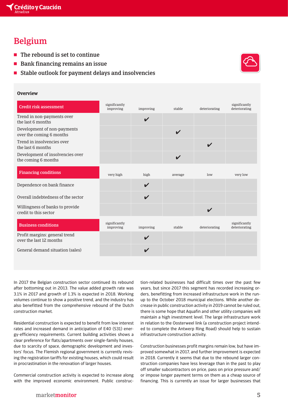## Belgium

- $\blacksquare$  The rebound is set to continue
- $\blacksquare$  Bank financing remains an issue
- $\blacksquare$  Stable outlook for payment delays and insolvencies

#### **Overview**

| <b>Credit risk assessment</b>                            | significantly<br>improving | improving                  | stable                     | deteriorating              | significantly<br>deteriorating |
|----------------------------------------------------------|----------------------------|----------------------------|----------------------------|----------------------------|--------------------------------|
| Trend in non-payments over<br>the last 6 months          |                            | $\boldsymbol{\mathcal{U}}$ |                            |                            |                                |
| Development of non-payments<br>over the coming 6 months  |                            |                            | $\boldsymbol{\mathcal{U}}$ |                            |                                |
| Trend in insolvencies over<br>the last 6 months          |                            |                            |                            | ✔                          |                                |
| Development of insolvencies over<br>the coming 6 months  |                            |                            | $\boldsymbol{\mathcal{U}}$ |                            |                                |
| <b>Financing conditions</b>                              | very high                  | high                       | average                    | low                        | very low                       |
| Dependence on bank finance                               |                            | $\boldsymbol{\mathcal{U}}$ |                            |                            |                                |
| Overall indebtedness of the sector                       |                            | ✔                          |                            |                            |                                |
| Willingness of banks to provide<br>credit to this sector |                            |                            |                            | $\boldsymbol{\mathcal{U}}$ |                                |
| <b>Business conditions</b>                               | significantly<br>improving | improving                  | stable                     | deteriorating              | significantly<br>deteriorating |
| Profit margins: general trend<br>over the last 12 months |                            | V                          |                            |                            |                                |
| General demand situation (sales)                         |                            | $\boldsymbol{\mathcal{U}}$ |                            |                            |                                |
|                                                          |                            |                            |                            |                            |                                |

In 2017 the Belgian construction sector continued its rebound after bottoming out in 2013. The value added growth rate was 3.1% in 2017 and growth of 1.3% is expected in 2018. Working volumes continue to show a positive trend, and the industry has also benefitted from the comprehensive rebound of the Dutch construction market.

Residential construction is expected to benefit from low interest rates and increased demand in anticipation of E40 (S31) energy-efficiency requirements. Current building activities shows a clear preference for flats/apartments over single-family houses, due to scarcity of space, demographic development and investors' focus. The Flemish regional government is currently revising the registration tariffs for existing houses, which could result in procrastination in the renovation of larger houses.

Commercial construction activity is expected to increase along with the improved economic environment. Public construction-related businesses had difficult times over the past few years, but since 2017 this segment has recorded increasing orders, benefitting from increased infrastructure work in the runup to the October 2018 municipal elections. While another decrease in public construction activity in 2019 cannot be ruled out, there is some hope that Aquafin and other utility companies will maintain a high investment level. The large infrastructure work in relation to the Oosterweel link (a construction project intended to complete the Antwerp Ring Road) should help to sustain infrastructure construction activity.

Construction businesses profit margins remain low, but have improved somewhat in 2017, and further improvement is expected in 2018. Currently it seems that due to the rebound larger construction companies have less leverage than in the past to play off smaller subcontractors on price, pass on price pressure and/ or impose longer payment terms on them as a cheap source of financing. This is currently an issue for larger businesses that

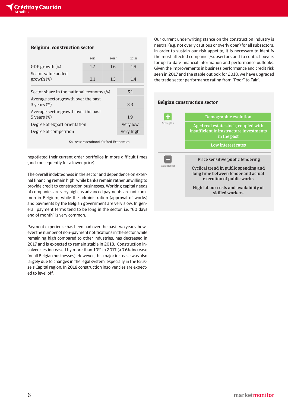#### **Belgium: construction sector**

|                                                         | 2017 | 2018f    | 2019f     |
|---------------------------------------------------------|------|----------|-----------|
| GDP growth $(\%)$                                       | 1.7  | 1.6      | 1.5       |
| Sector value added<br>growth <sub>(%)</sub>             | 3.1  | 1.3      | 1.4       |
| Sector share in the national economy $(\%)$             |      | 5.1      |           |
| Average sector growth over the past<br>$3$ vears $(\%)$ |      | 3.3      |           |
| Average sector growth over the past<br>5 years $(\%)$   |      | 1.9      |           |
| Degree of export orientation                            |      | very low |           |
| Degree of competition                                   |      |          | very high |
|                                                         |      |          |           |

Sources: Macrobond, Oxford Economics

negotiated their current order portfolios in more difficult times (and consequently for a lower price).

The overall indebtedness in the sector and dependence on external financing remain high, while banks remain rather unwilling to provide credit to construction businesses. Working capital needs of companies are very high, as advanced payments are not common in Belgium, while the administration (approval of works) and payments by the Belgian government are very slow. In general, payment terms tend to be long in the sector, i.e. "60 days end of month" is very common.

Payment experience has been bad over the past two years, however the number of non-payment notifications in the sector, while remaining high compared to other industries, has decreased in 2017 and is expected to remain stable in 2018. Construction insolvencies increased by more than 10% in 2017 (a 7.6% increase for all Belgian businesses). However, this major increase was also largely due to changes in the legal system, especially in the Brussels Capital region. In 2018 construction insolvencies are expected to level off.

Our current underwriting stance on the construction industry is neutral (e.g. not overly cautious or overly open) for all subsectors. In order to sustain our risk appetite, it is necessary to identify the most affected companies/subsectors and to contact buyers for up-to-date financial information and performance outlooks. Given the improvements in business performance and credit risk seen in 2017 and the stable outlook for 2018. we have upgraded the trade sector performance rating from "Poor" to Fair".

#### **Belgian construction sector**

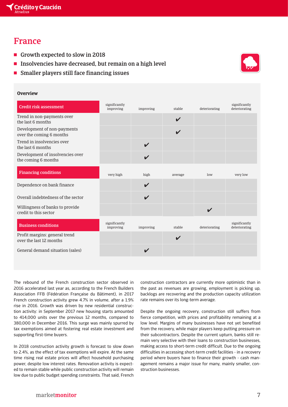## France

- Growth expected to slow in 2018
- **The Insolvencies have decreased, but remain on a high level**
- $\blacksquare$  Smaller players still face financing issues

#### **Overview**

| <b>Credit risk assessment</b>                            | significantly<br>improving | improving                  | stable                     | deteriorating              | significantly<br>deteriorating |
|----------------------------------------------------------|----------------------------|----------------------------|----------------------------|----------------------------|--------------------------------|
| Trend in non-payments over<br>the last 6 months          |                            |                            | $\boldsymbol{\nu}$         |                            |                                |
| Development of non-payments<br>over the coming 6 months  |                            |                            | $\boldsymbol{\mathcal{U}}$ |                            |                                |
| Trend in insolvencies over<br>the last 6 months          |                            | $\boldsymbol{\mathcal{U}}$ |                            |                            |                                |
| Development of insolvencies over<br>the coming 6 months  |                            | $\boldsymbol{\mathcal{U}}$ |                            |                            |                                |
| <b>Financing conditions</b>                              | very high                  | high                       | average                    | low                        | very low                       |
| Dependence on bank finance                               |                            | V                          |                            |                            |                                |
| Overall indebtedness of the sector                       |                            | $\boldsymbol{\mathcal{U}}$ |                            |                            |                                |
| Willingness of banks to provide<br>credit to this sector |                            |                            |                            | $\boldsymbol{\mathcal{U}}$ |                                |
| <b>Business conditions</b>                               | significantly<br>improving | improving                  | stable                     | deteriorating              | significantly<br>deteriorating |
| Profit margins: general trend<br>over the last 12 months |                            |                            | $\boldsymbol{\nu}$         |                            |                                |
| General demand situation (sales)                         |                            | $\boldsymbol{\mathcal{U}}$ |                            |                            |                                |
|                                                          |                            |                            |                            |                            |                                |

The rebound of the French construction sector observed in 2016 accelerated last year as, according to the French Builders Association FFB (Fédération Française du Bâtiment), in 2017 French construction activity grew 4.7% in volume, after a 1.9% rise in 2016. Growth was driven by new residential construction activity: in September 2017 new housing starts amounted to 414,000 units over the previous 12 months, compared to 380,000 in December 2016. This surge was mainly spurred by tax exemptions aimed at fostering real estate investment and supporting first-time buyers.

In 2018 construction activity growth is forecast to slow down to 2.4%, as the effect of tax exemptions will expire. At the same time rising real estate prices will affect household purchasing power, despite low interest rates. Renovation activity is expected to remain stable while public construction activity will remain low due to public budget spending constraints. That said, French

construction contractors are currently more optimistic than in the past as revenues are growing, employment is picking up, backlogs are recovering and the production capacity utilization rate remains over its long-term average.

Despite the ongoing recovery, construction still suffers from fierce competition, with prices and profitability remaining at a low level. Margins of many businesses have not yet benefited from the recovery, while major players keep putting pressure on their subcontractors. Despite the current upturn, banks still remain very selective with their loans to construction businesses, making access to short-term credit difficult. Due to the ongoing difficulties in accessing short-term credit facilities - in a recovery period where buyers have to finance their growth - cash management remains a major issue for many, mainly smaller, construction businesses.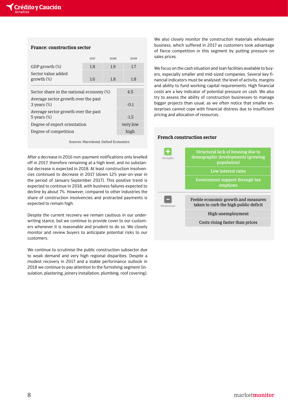#### **France: construction sector**

|                                                         | 2017       | 2018f    | 2019f |
|---------------------------------------------------------|------------|----------|-------|
| GDP growth $(\%)$                                       | 1.8        | 1.9      | 1.7   |
| Sector value added<br>growth <sub>(%)</sub>             | 1.6<br>1.8 |          | 1.8   |
| Sector share in the national economy $(\%)$             |            | 4.5      |       |
| Average sector growth over the past<br>$3$ years $(\%)$ |            | $-0.1$   |       |
| Average sector growth over the past<br>5 vears $(\%)$   |            | $-1.5$   |       |
| Degree of export orientation                            |            | very low |       |
| Degree of competition                                   |            |          | high  |
|                                                         |            |          |       |

Sources: Macrobond, Oxford Economics

After a decrease in 2016 non-payment notifications only levelled off in 2017, therefore remaining at a high level, and no substantial decrease is expected in 2018. At least construction insolvencies continued to decrease in 2017 (down 12% year-on-year in the period of January-September 2017). This positive trend is expected to continue in 2018, with business failures expected to decline by about 7%. However, compared to other industries the share of construction insolvencies and protracted payments is expected to remain high.

Despite the current recovery we remain cautious in our underwriting stance, but we continue to provide cover to our customers whenever it is reasonable and prudent to do so. We closely monitor and review buyers to anticipate potential risks to our customers.

We continue to scrutinise the public construction subsector due to weak demand and very high regional disparities. Despite a modest recovery in 2017 and a stable performance outlook in 2018 we continue to pay attention to the furnishing segment (insulation, plastering, joinery installation, plumbing, roof covering).

We also closely monitor the construction materials wholesaler business, which suffered in 2017 as customers took advantage of fierce competition in this segment by putting pressure on sales prices.

We focus on the cash situation and loan facilities available to buyers, especially smaller and mid-sized companies. Several key financial indicators must be analysed: the level of activity, margins and ability to fund working capital requirements. High financial costs are a key indicator of potential pressure on cash. We also try to assess the ability of construction businesses to manage bigger projects than usual, as we often notice that smaller enterprises cannot cope with financial distress due to insufficient pricing and allocation of resources.

#### **French construction sector**

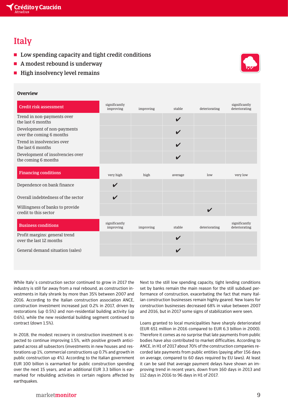# Italy

- $\blacksquare$  Low spending capacity and tight credit conditions
- $\blacksquare$  A modest rebound is underway
- $\blacksquare$  High insolvency level remains

## **Overview**

| <b>Credit risk assessment</b>                            | significantly<br>improving | improving | stable                     | deteriorating              | significantly<br>deteriorating |
|----------------------------------------------------------|----------------------------|-----------|----------------------------|----------------------------|--------------------------------|
| Trend in non-payments over<br>the last 6 months          |                            |           | V                          |                            |                                |
| Development of non-payments<br>over the coming 6 months  |                            |           | $\boldsymbol{\mathcal{U}}$ |                            |                                |
| Trend in insolvencies over<br>the last 6 months          |                            |           | $\boldsymbol{\nu}$         |                            |                                |
| Development of insolvencies over<br>the coming 6 months  |                            |           | $\boldsymbol{\nu}$         |                            |                                |
| <b>Financing conditions</b>                              | very high                  | high      | average                    | low                        | very low                       |
| Dependence on bank finance                               | $\boldsymbol{\nu}$         |           |                            |                            |                                |
| Overall indebtedness of the sector                       | $\boldsymbol{\mathcal{U}}$ |           |                            |                            |                                |
| Willingness of banks to provide<br>credit to this sector |                            |           |                            | $\boldsymbol{\mathcal{U}}$ |                                |
| <b>Business conditions</b>                               | significantly<br>improving | improving | stable                     | deteriorating              | significantly<br>deteriorating |
| Profit margins: general trend<br>over the last 12 months |                            |           | V                          |                            |                                |
| General demand situation (sales)                         |                            |           | V                          |                            |                                |
|                                                          |                            |           |                            |                            |                                |

While Italy´s construction sector continued to grow in 2017 the industry is still far away from a real rebound, as construction investments in Italy shrank by more than 35% between 2007 and 2016. According to the Italian construction association ANCE, construction investment increased just 0.2% in 2017, driven by restorations (up 0.5%) and non-residential building activity (up 0.6%), while the new residential building segment continued to contract (down 1.5%).

In 2018, the modest recovery in construction investment is expected to continue improving 1.5%, with positive growth anticipated across all subsectors (investments in new houses and restorations up 1%, commercial constructions up 0.7% and growth in public construction up 4%). According to the Italian government EUR 100 billion is earmarked for public construction spending over the next 15 years, and an additional EUR 3.3 billion is earmarked for rebuilding activities in certain regions affected by earthquakes.

Next to the still low spending capacity, tight lending conditions set by banks remain the main reason for the still subdued performance of construction, exacerbating the fact that many Italian construction businesses remain highly geared. New loans for construction businesses decreased 68% in value between 2007 and 2016, but in 2017 some signs of stabilization were seen.

Loans granted to local municipalities have sharply deteriorated (EUR 651 million in 2016 compared to EUR 6.3 billion in 2000). Therefore it comes as no surprise that late payments from public bodies have also contributed to market difficulties. According to ANCE, in H1 of 2017 about 70% of the construction companies recorded late payments from public entities (paying after 156 days on average, compared to 60 days required by EU laws). At least it can be said that average payment delays have shown an improving trend in recent years, down from 160 days in 2013 and 112 days in 2016 to 96 days in H1 of 2017.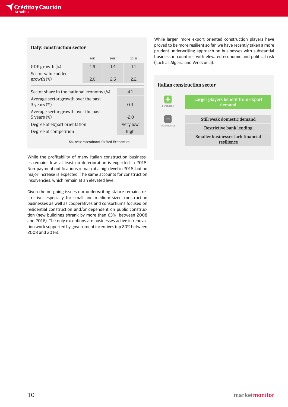#### **Italy: construction sector**

|                                                         | 2017 | 2018f    | 2019f |
|---------------------------------------------------------|------|----------|-------|
| GDP growth $(\%)$                                       | 1.6  | 1.4      | 1.1   |
| Sector value added<br>growth <sub>(%)</sub>             | 2.O  | 2.5      | 2.2.  |
| Sector share in the national economy $(\%)$             |      | 4.1      |       |
| Average sector growth over the past<br>$3$ vears $(\%)$ |      | 0.3      |       |
| Average sector growth over the past<br>5 vears $(\%)$   |      | $-2.0$   |       |
| Degree of export orientation                            |      | very low |       |
| Degree of competition                                   |      | high     |       |
|                                                         |      |          |       |

Sources: Macrobond, Oxford Economics

While the profitability of many Italian construction businesses remains low, at least no deterioration is expected in 2018. Non-payment notifications remain at a high level in 2018, but no major increase is expected. The same accounts for construction insolvencies, which remain at an elevated level.

Given the on-going issues our underwriting stance remains restrictive, especially for small and medium-sized construction businesses as well as cooperatives and consortiums focused on residential construction and/or dependent on public construction (new buildings shrank by more than 63% between 2008 and 2016). The only exceptions are businesses active in renovation work supported by government incentives (up 20% between 2008 and 2016).

While larger, more export oriented construction players have proved to be more resilient so far, we have recently taken a more prudent underwriting approach on businesses with substantial business in countries with elevated economic and political risk (such as Algeria and Venezuela).

#### **Italian construction sector**

| Strengths  | Larger players benefit from export<br>demand    |
|------------|-------------------------------------------------|
|            | Still weak domestic demand                      |
| Weaknesses | Restrictive bank lending                        |
|            | Smaller businesses lack financial<br>resilience |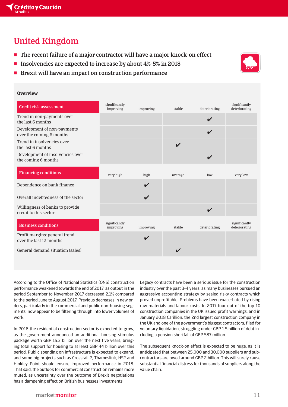## United Kingdom

- $\blacksquare$  The recent failure of a major contractor will have a major knock-on effect
- **The Insolvencies are expected to increase by about 4%-5% in 2018**



 $\blacksquare$  Brexit will have an impact on construction performance

#### **Overview**

| Credit risk assessment                                   | significantly<br>improving | improving                  | stable                     | deteriorating              | significantly<br>deteriorating |
|----------------------------------------------------------|----------------------------|----------------------------|----------------------------|----------------------------|--------------------------------|
| Trend in non-payments over<br>the last 6 months          |                            |                            |                            | $\boldsymbol{\mathcal{U}}$ |                                |
| Development of non-payments<br>over the coming 6 months  |                            |                            |                            | $\boldsymbol{\mathcal{U}}$ |                                |
| Trend in insolvencies over<br>the last 6 months          |                            |                            | V                          |                            |                                |
| Development of insolvencies over<br>the coming 6 months  |                            |                            |                            | $\boldsymbol{\mathcal{U}}$ |                                |
| <b>Financing conditions</b>                              | very high                  | high                       | average                    | low                        | very low                       |
| Dependence on bank finance                               |                            | V                          |                            |                            |                                |
| Overall indebtedness of the sector                       |                            | $\boldsymbol{\mathcal{U}}$ |                            |                            |                                |
| Willingness of banks to provide<br>credit to this sector |                            |                            |                            | $\boldsymbol{\mathcal{U}}$ |                                |
| <b>Business conditions</b>                               | significantly<br>improving | improving                  | stable                     | deteriorating              | significantly<br>deteriorating |
| Profit margins: general trend<br>over the last 12 months |                            | ✔                          |                            |                            |                                |
| General demand situation (sales)                         |                            |                            | $\boldsymbol{\mathcal{U}}$ |                            |                                |
|                                                          |                            |                            |                            |                            |                                |

According to the Office of National Statistics (ONS) construction performance weakened towards the end of 2017, as output in the period September to November 2017 decreased 2.1% compared to the period June to August 2017. Previous decreases in new orders, particularly in the commercial and public non-housing segments, now appear to be filtering through into lower volumes of work.

In 2018 the residential construction sector is expected to grow, as the government announced an additional housing stimulus package worth GBP 15.3 billion over the next five years, bringing total support for housing to at least GBP 44 billion over this period. Public spending on infrastructure is expected to expand, and some big projects such as Crossrail 2, Thameslink, HS2 and Hinkley Point should ensure improved performance in 2018. That said, the outlook for commercial construction remains more muted, as uncertainty over the outcome of Brexit negotiations has a dampening effect on British businesses investments.

Legacy contracts have been a serious issue for the construction industry over the past 3-4 years, as many businesses pursued an aggressive accounting strategy by sealed risky contracts which proved unprofitable. Problems have been exacerbated by rising raw materials and labour costs. In 2017 four out of the top 10 construction companies in the UK issued profit warnings, and in January 2018 Carillion, the 2nd largest construction company in the UK and one of the government's biggest contractors, filed for voluntary liquidation, struggling under GBP 1.5 billion of debt including a pension shortfall of GBP 587 million.

The subsequent knock-on effect is expected to be huge, as it is anticipated that between 25,000 and 30,000 suppliers and subcontractors are owed around GBP 2 billion. This will surely cause substantial financial distress for thousands of suppliers along the value chain.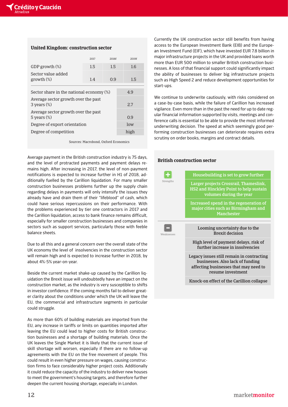#### **United Kingdom: construction sector**

|                                                         | 2017 | 2018f | 2019f |
|---------------------------------------------------------|------|-------|-------|
| GDP growth $(\%)$                                       | 1.5  | 1.5   | 1.6   |
| Sector value added<br>growth <sub>(%)</sub>             | 1.4  | 0.9   | 1.5   |
| Sector share in the national economy $(\%)$             |      | 49    |       |
| Average sector growth over the past<br>$3$ years $(\%)$ |      | 2.7   |       |
| Average sector growth over the past<br>5 vears $(\%)$   |      | 0.9   |       |
| Degree of export orientation                            |      | low   |       |
| Degree of competition                                   |      |       | high  |
|                                                         |      |       |       |

Sources: Macrobond, Oxford Economics

Average payment in the British construction industry is 75 days, and the level of protracted payments and payment delays remains high. After increasing in 2017, the level of non-payment notifications is expected to increase further in H1 of 2018, additionally fuelled by the Carillion liquidation. For many smaller construction businesses problems further up the supply chain regarding delays in payments will only intensify the issues they already have and drain them of their "lifeblood" of cash, which could have serious repercussions on their performance. With the problems experienced by tier one contractors in 2017 and the Carillion liquidation, access to bank finance remains difficult, especially for smaller construction businesses and companies in sectors such as support services, particularly those with feeble balance sheets.

Due to all this and a general concern over the overall state of the UK economy the level of insolvencies in the construction sector will remain high and is expected to increase further in 2018, by about 4%-5% year-on-year.

Beside the current market shake-up caused by the Carillion liquidation the Brexit issue will undoubtedly have an impact on the construction market, as the industry is very susceptible to shifts in investor confidence. If the coming months fail to deliver greater clarity about the conditions under which the UK will leave the EU, the commercial and infrastructure segments in particular could struggle.

As more than 60% of building materials are imported from the EU, any increase in tariffs or limits on quantities imported after leaving the EU could lead to higher costs for British construction businesses and a shortage of building materials. Once the UK leaves the Single Market it is likely that the current issue of skill shortage will worsen, especially if there are no follow-up agreements with the EU on the free movement of people. This could result in even higher pressure on wages, causing construction firms to face considerably higher project costs. Additionally it could reduce the capacity of the industry to deliver new houses to meet the government's housing targets, and therefore further deepen the current housing shortage, especially in London.

Currently the UK construction sector still benefits from having access to the European Investment Bank (EIB) and the European Investment Fund (EIF), which have invested EUR 7.8 billion in major infrastructure projects in the UK and provided loans worth more than EUR 500 million to smaller British construction businesses. A loss of that financial support could significantly impact the ability of businesses to deliver big infrastructure projects such as High Speed 2 and reduce development opportunities for start-ups.

We continue to underwrite cautiously, with risks considered on a case-by-case basis, while the failure of Carillion has increased vigilance. Even more than in the past the need for up to date regular financial information supported by visits, meetings and conference calls is essential to be able to provide the most informed underwriting decision. The speed at which seemingly good performing construction businesses can deteriorate requires extra scrutiny on order books, margins and contract details.

#### **British construction sector**

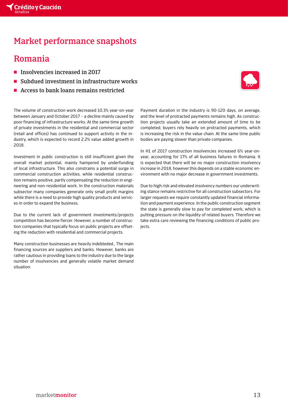## Market performance snapshots

## Romania

2018.

- **F** Insolvencies increased in 2017
- Subdued investment in infrastructure works
- Access to bank loans remains restricted

The volume of construction work decreased 10.3% year-on-year between January and October 2017 – a decline mainly caused by poor financing of infrastructure works. At the same time growth of private investments in the residential and commercial sector (retail and offices) has continued to support activity in the industry, which is expected to record 2.2% value added growth in

Investment in public construction is still insufficient given the overall market potential, mainly hampered by underfunding of local infrastructure. This also constrains a potential surge in commercial construction activities, while residential construction remains positive, partly compensating the reduction in engineering and non-residential work. In the construction materials subsector many companies generate only small profit margins while there is a need to provide high quality products and services in order to expand the business.

Due to the current lack of government investments/projects competition has become fiercer. However, a number of construction companies that typically focus on public projects are offseting the reduction with residential and commercial projects.

Many construction businesses are heavily indebteded., The main financing sources are suppliers and banks. However, banks are rather cautious in providing loans to the industry due to the large number of insolvencies and generally volatile market demand situation.

Payment duration in the industry is 90-120 days, on average, and the level of protracted payments remains high. As construction projects usually take an extended amount of time to be completed, buyers rely heavily on protracted payments, which is increasing the risk in the value chain. At the same time public bodies are paying slower than private companies.

In H1 of 2017 construction insolvencies increased 6% year-onyear, accounting for 17% of all business failures in Romania. It is expected that there will be no major construction insolvency increase in 2018, however this depends on a stable economic environment with no major decrease in government investments.

Due to high risk and elevated insolvency numbers our underwriting stance remains restrictive for all construction subsectors. For larger requests we require constantly updated financial information and payment experience. In the public construction segment the state is generally slow to pay for completed work, which is putting pressure on the liquidity of related buyers. Therefore we take extra care reviewing the financing conditions of public projects.

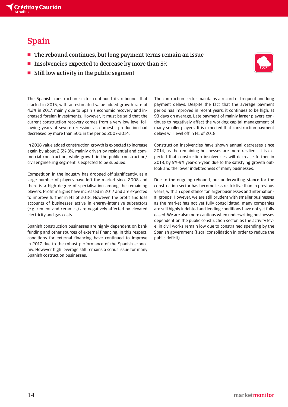

## Spain

- $\blacksquare$  The rebound continues, but long payment terms remain an issue
- $\blacksquare$  Insolvencies expected to decrease by more than 5%
- $\blacksquare$  Still low activity in the public segment



The Spanish construction sector continued its rebound, that started in 2015, with an estimated value added growth rate of 4.2% in 2017, mainly due to Spain´s economic recovery and increased foreign investments. However, it must be said that the current construction recovery comes from a very low level following years of severe recession, as domestic production had decreased by more than 50% in the period 2007-2014.

In 2018 value added construction growth is expected to increase again by about 2.5%-3%, mainly driven by residential and commercial construction, while growth in the public construction/ civil engineering segment is expected to be subdued.

Competition in the industry has dropped off significantly, as a large number of players have left the market since 2008 and there is a high degree of specialisation among the remaining players. Profit margins have increased in 2017 and are expected to improve further in H1 of 2018. However, the profit and loss accounts of businesses active in energy-intensive subsectors (e.g. cement and ceramics) are negatively affected by elevated electricity and gas costs.

Spanish construction businesses are highly dependent on bank funding and other sources of external financing. In this respect, conditions for external financing have continued to improve in 2017 due to the robust performance of the Spanish economy. However high leverage still remains a serius issue for many Spanish costruction businesses.

The contruction sector maintains a record of frequent and long payment delays. Despite the fact that the average payment period has improved in recent years, it continues to be high, at 93 days on average. Late payment of mainly larger players continues to negatively affect the working capital management of many smaller players. It is expected that construction payment delays will level off in H1 of 2018.

Construction insolvencies have shown annual decreases since 2014, as the remaining businesses are more resilient. It is expected that construction insolvencies will decrease further in 2018, by 5%-9% year-on-year, due to the satisfying growth outlook and the lower indebtedness of many businesses.

Due to the ongoing rebound, our underwriting stance for the construction sector has become less restrictive than in previous years, with an open stance for larger businesses and international groups. However, we are still prudent with smaller businesses as the market has not yet fully consolidated, many companies are still highly indebted and lending conditions have not yet fully eased. We are also more cautious when underwriting businesses dependent on the public construction sector, as the activity level in civil works remain low due to constrained spending by the Spanish government (fiscal consolidation in order to reduce the public deficit).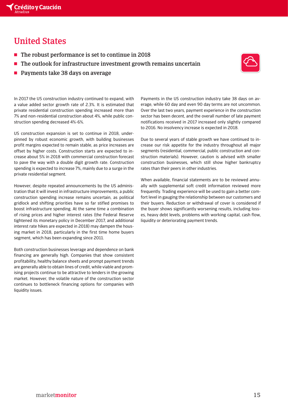## United States

- $\blacksquare$  The robust performance is set to continue in 2018
- $\blacksquare$  The outlook for infrastructure investment growth remains uncertain
- $\blacksquare$  Payments take 38 days on average



In 2017 the US construction industry continued to expand, with a value added sector growth rate of 2.3%. It is estimated that private residential construction spending increased more than 7% and non-residential construction about 4%, while public construction spending decreased 4%-6%.

US construction expansion is set to continue in 2018, underpinned by robust economic growth, with building businesses profit margins expected to remain stable, as price increases are offset by higher costs. Construction starts are expected to increase about 5% in 2018 with commercial construction forecast to pave the way with a double digit growth rate. Construction spending is expected to increase 7%, mainly due to a surge in the private residential segment.

However, despite repeated announcements by the US administration that it will invest in infrastructure improvements, a public construction spending increase remains uncertain, as political gridlock and shifting priorities have so far stifled promises to boost infrastructure spending. At the same time a combination of rising prices and higher interest rates (the Federal Reserve tightened its monetary policy in December 2017, and additional interest rate hikes are expected in 2018) may dampen the housing market in 2018, particularly in the first time home buyers segment, which has been expanding since 2011.

Both construction businesses leverage and dependence on bank financing are generally high. Companies that show consistent profitability, healthy balance sheets and prompt payment trends are generally able to obtain lines of credit, while viable and promising projects continue to be attractive to lenders in the growing market. However, the volatile nature of the construction sector continues to bottleneck financing options for companies with liquidity issues.

Payments in the US construction industry take 38 days on average, while 60 day and even 90 day terms are not uncommon. Over the last two years, payment experience in the construction sector has been decent, and the overall number of late payment notifications received in 2017 increased only slightly compared to 2016. No insolvency increase is expected in 2018.

Due to several years of stable growth we have continued to increase our risk appetite for the industry throughout all major segments (residential, commercial, public construction and construction materials). However, caution is advised with smaller construction businesses, which still show higher bankruptcy rates than their peers in other industries.

When available, financial statements are to be reviewed annually with supplemental soft credit information reviewed more frequently. Trading experience will be used to gain a better comfort level in gauging the relationship between our customers and their buyers. Reduction or withdrawal of cover is considered if the buyer shows significantly worsening results, including losses, heavy debt levels, problems with working capital, cash flow, liquidity or deteriorating payment trends.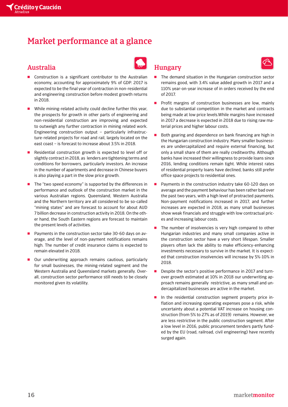## Market performance at a glance

### Australia

- **T** Construction is a significant contributor to the Australian economy, accounting for approximately 9% of GDP. 2017 is expected to be the final year of contraction in non-residential and engineering construction before modest growth returns in 2018.
- While mining-related activity could decline further this year, the prospects for growth in other parts of engineering and non-residential construction are improving and expected to outweigh any further contraction in mining related work. Engineering construction output – particularly infrastructure-related projects for road and rail, largely located on the east coast – is forecast to increase about 3.5% in 2018.
- Residential construction growth is expected to level off or slightly contract in 2018, as lenders are tightening terms and conditions for borrowers, particularly investors. An increase in the number of apartments and decrease in Chinese buyers is also playing a part in the slow price growth.
- The "two speed economy" is supported by the differences in performance and outlook of the construction market in the various Australian regions. Queensland, Western Australia and the Northern territory are all considered to be so-called "mining states" and are forecast to account for about AUD 7 billion decrease in construction activity in 2018. On the other hand, the South Eastern regions are forecast to maintain the present levels of activities.
- Payments in the construction sector take 30-60 days on average, and the level of non-payment notifications remains high. The number of credit insurance claims is expected to remain elevated in 2018.
- Our underwriting approach remains cautious, particularly for small businesses, the mining-related segment and the Western Australia and Queensland markets generally. Overall, construction sector performance still needs to be closely monitored given its volatility.

### Hungary

- **The demand situation in the Hungarian construction sector** remains good, with 3.4% value added growth in 2017 and a 110% year-on-year increase of in orders received by the end of 2017.
- **Profit margins of construction businesses are low, mainly** due to substantial competition in the market and contracts being made at low price levels.While margins have increased in 2017 a decrease is expected in 2018 due to rising raw material prices and higher labour costs.
- Both gearing and dependence on bank financing are high in the Hungarian construction industry. Many smaller businesses are undercapitalized and require external financing, but only a small share of them are really creditworthy. Although banks have increased their willingness to provide loans since 2016, lending conditions remain tight. While interest rates of residential property loans have declined, banks still prefer office space projects to residential ones.
- $\blacksquare$  Payments in the construction industry take 60-120 days on average and the payment behaviour has been rather bad over the past two years, with a high level of protracted payments. Non-payment notifications increased in 2017, and further increases are expected in 2018, as many small businesses show weak financials and struggle with low contractual prices and increasing labour costs.
- $\blacksquare$  The number of insolvencies is very high compared to other Hungarian industries and many small companies active in the construction sector have a very short lifespan. Smaller players often lack the ability to make efficiency-enhancing investments necessary to survive in the market. It is expected that construction insolvencies will increase by 5%-10% in 2018.
- **P** Despite the sector's positive performance in 2017 and turnover growth estimated at 10% in 2018 our underwriting approach remains generally restrictive, as many small and undercapitalized businesses are active in the market.
- **T** In the residential construction segment property price inflation and increasing operating expenses pose a risk, while uncertainty about a potential VAT increase on housing construction (from 5% to 27% as of 2019) remains. However, we are less restrictive in the public construction segment. After a low level in 2016, public procurement tenders partly funded by the EU (road, railroad, civil engineering) have recently surged again.

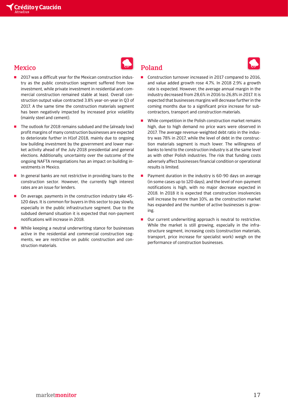## **Mexico**



- The outlook for 2018 remains subdued and the (already low) profit margins of many construction businesses are expected to deteriorate further in H1of 2018, mainly due to ongoing low building investment by the government and lower market activity ahead of the July 2018 presidential and general elections. Additionally, uncertainty over the outcome of the ongoing NAFTA renegotiations has an impact on building investments in Mexico.
- In general banks are not restrictive in providing loans to the construction sector. However, the currently high interest rates are an issue for lenders.
- On average, payments in the construction industry take 45-120 days. It is common for buyers in this sector to pay slowly, especially in the public infrastructure segment. Due to the subdued demand situation it is expected that non-payment notifications will increase in 2018.
- While keeping a neutral underwriting stance for businesses active in the residential and commercial construction segments, we are restrictive on public construction and construction materials.



Poland





- Construction turnover increased in 2017 compared to 2016, and value added growth rose 4.7%. In 2018 2.9% a growth rate is expected. However, the average annual margin in the industry decreased from 28,6% in 2016 to 26,8% in 2017. It is expected that businesses margins will decrease further in the coming months due to a significant price increase for subcontractors, transport and construction materials.
- While competition in the Polish construction market remains high, due to high demand no price wars were observed in 2017. The average revenue-weighted debt ratio in the industry was 78% in 2017, while the level of debt in the construction materials segment is much lower. The willingness of banks to lend to the construction industry is at the same level as with other Polish industries. The risk that funding costs adversely affect businesses financial condition or operational results is limited.
- Payment duration in the industry is 60-90 days on average (in some cases up to 120 days), and the level of non-payment notifications is high, with no major decrease expected in 2018. In 2018 it is expected that construction insolvencies will increase by more than 10%, as the construction market has expanded and the number of active businesses is growing.
- Our current underwriting approach is neutral to restrictive. While the market is still growing, especially in the infrastructure segment, increasing costs (construction materials, transport, price increase for specialist work) weigh on the performance of construction businesses.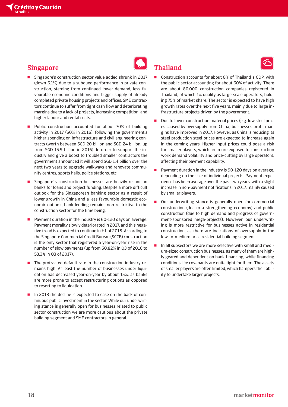#### Singapore

- Singapore's construction sector value added shrunk in 2017 (down 6.1%) due to a subdued performance in private construction, steming from continued lower demand, less favourable economic conditions and bigger supply of already completed private housing projects and offices. SME contractors continue to suffer from tight cash flow and deteriorating margins due to a lack of projects, increasing competition, and higher labour and rental costs.
- Public construction accounted for about 70% of building activity in 2017 (60% in 2016), following the government's higher spending on infrastructure and civil engineering contracts (worth between SGD 20 billion and SGD 24 billion, up from SGD 15.9 billion in 2016). In order to support the industry and give a boost to troubled smaller contractors the government announced it will spend SGD 1.4 billion over the next two years to upgrade walkways and renovate community centres, sports halls, police stations, etc.
- Singapore's construction businesses are heavily reliant on banks for loans and project funding. Despite a more difficult outlook for the Singaporean banking sector as a result of lower growth in China and a less favourable domestic economic outlook, bank lending remains non-restrictive to the construction sector for the time being.
- Payment duration in the industry is 60-120 days on average. Payment morality slowly deteriorated in 2017, and this negative trend is expected to continue in H1 of 2018. According to the Singapore Commercial Credit Bureau (SCCB) construction is the only sector that registered a year-on-year rise in the number of slow payments (up from 50.82% in Q3 of 2016 to 53.3% in Q3 of 2017).
- The protracted default rate in the construction industry remains high. At least the number of businesses under liquidation has decreased year-on-year by about 15%, as banks are more prone to accept restructuring options as opposed to resorting to liquidation.
- In 2018 the decline is expected to ease on the back of continuous public investment in the sector. While our underwriting stance is generally open for businesses related to public sector construction we are more cautious about the private building segment and SME contractors in general.

## Thailand

- Construction accounts for about 8% of Thailand´s GDP, with the public sector accounting for about 60% of activity. There are about 80,000 construction companies registered in Thailand, of which 1% qualify as large-scale operators, holding 75% of market share. The sector is expected to have high growth rates over the next five years, mainly due to large infrastructure projects driven by the government.
- $\blacksquare$  Due to lower construction material prices (e.g. low steel prices caused by oversupply from China) businesses profit margins have improved in 2017. However, as China is reducing its steel production steel prices are expected to increase again in the coming years. Higher input prices could pose a risk for smaller players, which are more exposed to construction work demand volatility and price-cutting by large operators, affecting their payment capability.
- **Payment duration in the industry is 90-120 days on average,** depending on the size of individual projects. Payment experience has been average over the past two years, with a slight increase in non-payment notifications in 2017, mainly caused by smaller players.
- Our underwriting stance is generally open for commercial construction (due to a strengthening economy) and public construction (due to high demand and progress of government-sponsored mega-projects). However, our underwriting is more restrictive for businesses active in residential construction, as there are indications of oversupply in the low-to-medium price residential building segment.
- **T** In all subsectors we are more selective with small and medium-sized construction businesses, as many of them are highly geared and dependent on bank financing, while financing conditions like covenants are quite tight for them. The assets of smaller players are often limited, which hampers their ability to undertake larger projects.